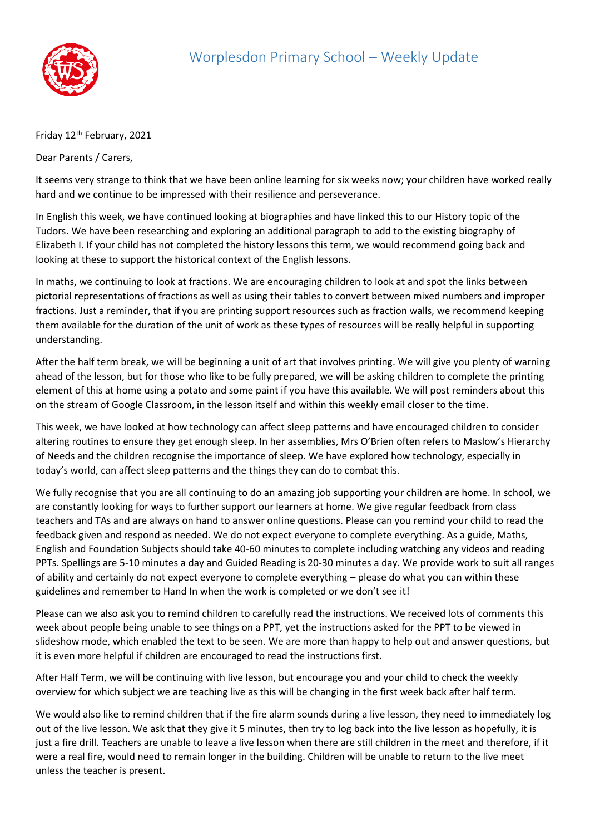

## Friday 12<sup>th</sup> February, 2021

Dear Parents / Carers,

It seems very strange to think that we have been online learning for six weeks now; your children have worked really hard and we continue to be impressed with their resilience and perseverance.

In English this week, we have continued looking at biographies and have linked this to our History topic of the Tudors. We have been researching and exploring an additional paragraph to add to the existing biography of Elizabeth I. If your child has not completed the history lessons this term, we would recommend going back and looking at these to support the historical context of the English lessons.

In maths, we continuing to look at fractions. We are encouraging children to look at and spot the links between pictorial representations of fractions as well as using their tables to convert between mixed numbers and improper fractions. Just a reminder, that if you are printing support resources such as fraction walls, we recommend keeping them available for the duration of the unit of work as these types of resources will be really helpful in supporting understanding.

After the half term break, we will be beginning a unit of art that involves printing. We will give you plenty of warning ahead of the lesson, but for those who like to be fully prepared, we will be asking children to complete the printing element of this at home using a potato and some paint if you have this available. We will post reminders about this on the stream of Google Classroom, in the lesson itself and within this weekly email closer to the time.

This week, we have looked at how technology can affect sleep patterns and have encouraged children to consider altering routines to ensure they get enough sleep. In her assemblies, Mrs O'Brien often refers to Maslow's Hierarchy of Needs and the children recognise the importance of sleep. We have explored how technology, especially in today's world, can affect sleep patterns and the things they can do to combat this.

We fully recognise that you are all continuing to do an amazing job supporting your children are home. In school, we are constantly looking for ways to further support our learners at home. We give regular feedback from class teachers and TAs and are always on hand to answer online questions. Please can you remind your child to read the feedback given and respond as needed. We do not expect everyone to complete everything. As a guide, Maths, English and Foundation Subjects should take 40-60 minutes to complete including watching any videos and reading PPTs. Spellings are 5-10 minutes a day and Guided Reading is 20-30 minutes a day. We provide work to suit all ranges of ability and certainly do not expect everyone to complete everything – please do what you can within these guidelines and remember to Hand In when the work is completed or we don't see it!

Please can we also ask you to remind children to carefully read the instructions. We received lots of comments this week about people being unable to see things on a PPT, yet the instructions asked for the PPT to be viewed in slideshow mode, which enabled the text to be seen. We are more than happy to help out and answer questions, but it is even more helpful if children are encouraged to read the instructions first.

After Half Term, we will be continuing with live lesson, but encourage you and your child to check the weekly overview for which subject we are teaching live as this will be changing in the first week back after half term.

We would also like to remind children that if the fire alarm sounds during a live lesson, they need to immediately log out of the live lesson. We ask that they give it 5 minutes, then try to log back into the live lesson as hopefully, it is just a fire drill. Teachers are unable to leave a live lesson when there are still children in the meet and therefore, if it were a real fire, would need to remain longer in the building. Children will be unable to return to the live meet unless the teacher is present.